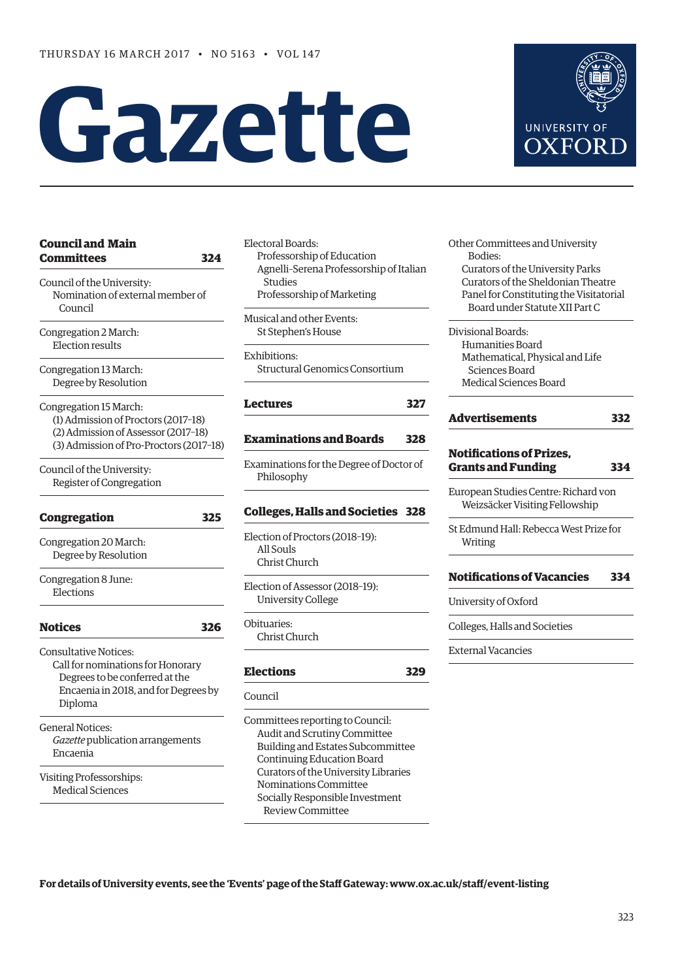# **Gazette**



| <b>Council and Main</b><br><b>Committees</b><br>324                                                                                                    |
|--------------------------------------------------------------------------------------------------------------------------------------------------------|
| Council of the University:<br>Nomination of external member of<br>Council                                                                              |
| Congregation 2 March:<br><b>Election results</b>                                                                                                       |
| Congregation 13 March:<br>Degree by Resolution                                                                                                         |
| Congregation 15 March:<br>(1) Admission of Proctors (2017-18)<br>(2) Admission of Assessor (2017-18)<br>(3) Admission of Pro-Proctors (2017-18)        |
| Council of the University:<br>Register of Congregation                                                                                                 |
| Congregation<br>325                                                                                                                                    |
| Congregation 20 March:<br>Degree by Resolution                                                                                                         |
| Congregation 8 June:<br>Elections                                                                                                                      |
| <b>Notices</b><br>326                                                                                                                                  |
| <b>Consultative Notices:</b><br>Call for nominations for Honorary<br>Degrees to be conferred at the<br>Encaenia in 2018, and for Degrees by<br>Diploma |
| <b>General Notices:</b><br>Gazette publication arrangements<br>Encaenia                                                                                |
| Visiting Professorships:<br><b>Medical Sciences</b>                                                                                                    |

Electoral Boards: Professorship of Education Agnelli–Serena Professorship of Italian **Studies** Professorship of Marketing

Musical and other Events: St Stephen's House

Exhibitions: Structural Genomics Consortium

#### **[Lectures](#page-4-0) 327**

#### **[Examinations and Boards](#page-5-0) 328**

Examinations for the Degree of Doctor of Philosophy

#### **[Colleges, Halls and Societies](#page-5-0) 328**

Election of Proctors (2018–19): All Souls Christ Church

Election of Assessor (2018–19): University College

Obituaries: Christ Church

### **[Elections](#page-6-0) 329**

#### Council

Committees reporting to Council: Audit and Scrutiny Committee Building and Estates Subcommittee Continuing Education Board Curators of the University Libraries Nominations Committee Socially Responsible Investment Review Committee

Other Committees and University Bodies: Curators of the University Parks Curators of the Sheldonian Theatre Panel for Constituting the Visitatorial Board under Statute XII Part C

Divisional Boards: Humanities Board Mathematical, Physical and Life Sciences Board Medical Sciences Board

| <b>Advertisements</b>                                                  | 332 |
|------------------------------------------------------------------------|-----|
| <b>Notifications of Prizes.</b><br><b>Grants and Funding</b>           | 334 |
| European Studies Centre: Richard von<br>Weizsäcker Visiting Fellowship |     |
| St Edmund Hall: Rebecca West Prize for<br>Writing                      |     |
| <b>Notifications of Vacancies</b>                                      | 334 |
| University of Oxford                                                   |     |
| Colleges, Halls and Societies                                          |     |
| External Vacancies                                                     |     |

**For details of University events, see the 'Events' page of the Staff Gateway: [www.ox.ac.uk/staff/event-listing](http://www.ox.ac.uk/staff/event-listing)**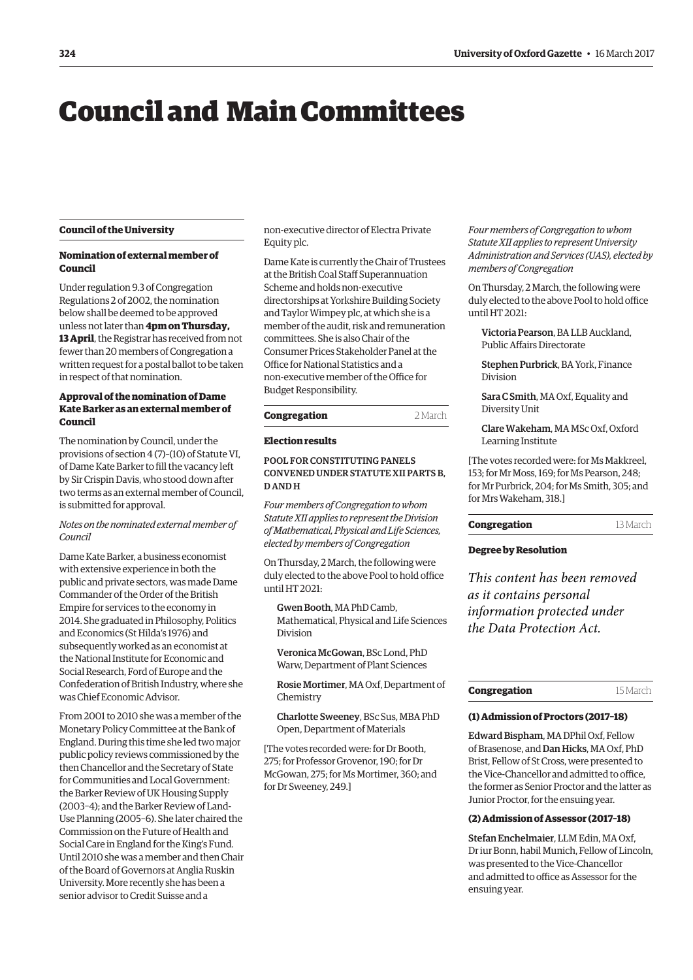## <span id="page-1-0"></span>Council and Main Committees

#### **Council of the University**

#### **Nomination of external member of Council**

Under regulation 9.3 of Congregation Regulations 2 of 2002, the nomination below shall be deemed to be approved unless not later than **4pm on Thursday, 13 April**, the Registrar has received from not fewer than 20 members of Congregation a written request for a postal ballot to be taken in respect of that nomination.

#### **Approval of the nomination of Dame Kate Barker as an external member of Council**

The nomination by Council, under the provisions of section 4 (7)–(10) of Statute VI, of Dame Kate Barker to fill the vacancy left by Sir Crispin Davis, who stood down after two terms as an external member of Council, is submitted for approval.

#### *Notes on the nominated external member of Council*

Dame Kate Barker, a business economist with extensive experience in both the public and private sectors, was made Dame Commander of the Order of the British Empire for services to the economy in 2014. She graduated in Philosophy, Politics and Economics (St Hilda's 1976) and subsequently worked as an economist at the National Institute for Economic and Social Research, Ford of Europe and the Confederation of British Industry, where she was Chief Economic Advisor.

From 2001 to 2010 she was a member of the Monetary Policy Committee at the Bank of England. During this time she led two major public policy reviews commissioned by the then Chancellor and the Secretary of State for Communities and Local Government: the Barker Review of UK Housing Supply (2003–4); and the Barker Review of Land-Use Planning (2005–6). She later chaired the Commission on the Future of Health and Social Care in England for the King's Fund. Until 2010 she was a member and then Chair of the Board of Governors at Anglia Ruskin University. More recently she has been a senior advisor to Credit Suisse and a

non-executive director of Electra Private Equity plc.

Dame Kate is currently the Chair of Trustees at the British Coal Staff Superannuation Scheme and holds non-executive directorships at Yorkshire Building Society and Taylor Wimpey plc, at which she is a member of the audit, risk and remuneration committees. She is also Chair of the Consumer Prices Stakeholder Panel at the Office for National Statistics and a non-executive member of the Office for Budget Responsibility.

#### **Congregation** 2 March

#### **Election results**

#### POOL FOR CONSTITUTING PANELS CONVENED UNDER STATUTE XII PARTS B, D AND H

*Four members of Congregation to whom Statute XII applies to represent the Division of Mathematical, Physical and Life Sciences, elected by members of Congregation*

On Thursday, 2 March, the following were duly elected to the above Pool to hold office until HT 2021:

Gwen Booth, MA PhD Camb, Mathematical, Physical and Life Sciences Division

Veronica McGowan, BSc Lond, PhD Warw, Department of Plant Sciences

Rosie Mortimer, MA Oxf, Department of Chemistry

Charlotte Sweeney, BSc Sus, MBA PhD Open, Department of Materials

[The votes recorded were: for Dr Booth, 275; for Professor Grovenor, 190; for Dr McGowan, 275; for Ms Mortimer, 360; and for Dr Sweeney, 249.]

*Four members of Congregation to whom Statute XII applies to represent University Administration and Services (UAS), elected by members of Congregation*

On Thursday, 2 March, the following were duly elected to the above Pool to hold office until HT 2021:

Victoria Pearson, BA LLB Auckland, Public Affairs Directorate

Stephen Purbrick, BA York, Finance Division

Sara C Smith, MA Oxf, Equality and Diversity Unit

Clare Wakeham, MA MSc Oxf, Oxford Learning Institute

[The votes recorded were: for Ms Makkreel, 153; for Mr Moss, 169; for Ms Pearson, 248; for Mr Purbrick, 204; for Ms Smith, 305; and for Mrs Wakeham, 318.]

#### **Congregation** 13 March

#### **Degree by Resolution**

*This content has been removed as it contains personal information protected under the Data Protection Act.*

| Congregation | 15 March |
|--------------|----------|
|--------------|----------|

#### **(1) Admission of Proctors (2017–18)**

Edward Bispham, MA DPhil Oxf, Fellow of Brasenose, and Dan Hicks, MA Oxf, PhD Brist, Fellow of St Cross, were presented to the Vice-Chancellor and admitted to office, the former as Senior Proctor and the latter as Junior Proctor, for the ensuing year.

#### **(2) Admission of Assessor (2017–18)**

Stefan Enchelmaier, LLM Edin, MA Oxf, Dr iur Bonn, habil Munich, Fellow of Lincoln, was presented to the Vice-Chancellor and admitted to office as Assessor for the ensuing year.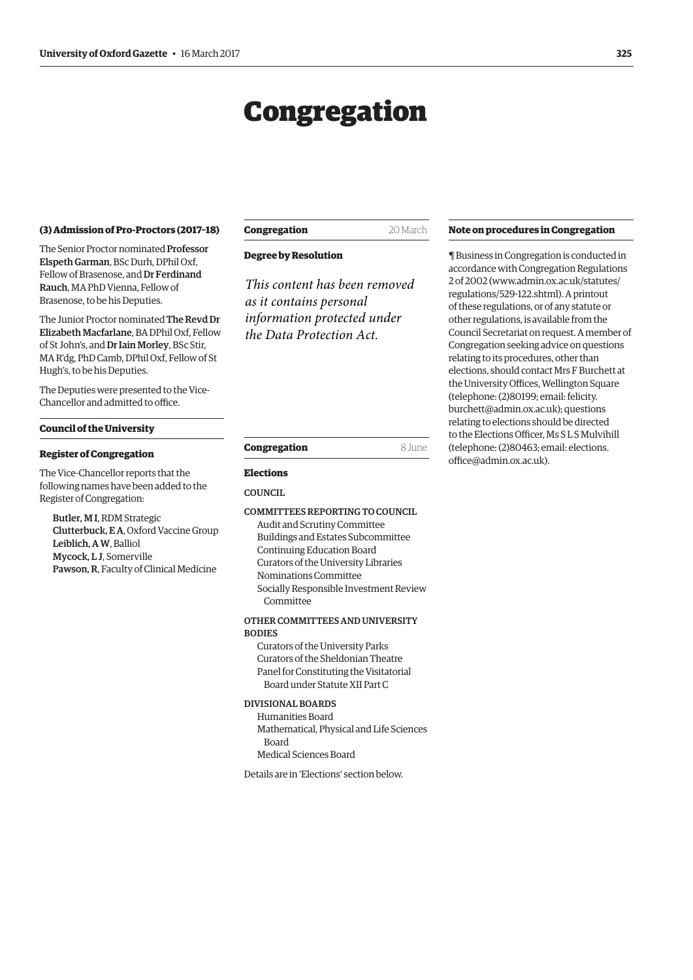## Congregation

#### <span id="page-2-0"></span>**(3) Admission of Pro-Proctors (2017–18)**

The Senior Proctor nominated Professor Elspeth Garman, BSc Durh, DPhil Oxf, Fellow of Brasenose, and Dr Ferdinand Rauch, MA PhD Vienna, Fellow of Brasenose, to be his Deputies.

The Junior Proctor nominated The Revd Dr Elizabeth Macfarlane, BA DPhil Oxf, Fellow of St John's, and Dr Iain Morley, BSc Stir, MA R'dg, PhD Camb, DPhil Oxf, Fellow of St Hugh's, to be his Deputies.

The Deputies were presented to the Vice-Chancellor and admitted to office.

#### **Council of the University**

#### **Register of Congregation**

The Vice-Chancellor reports that the following names have been added to the Register of Congregation:

Butler, M I, RDM Strategic Clutterbuck, E A, Oxford Vaccine Group Leiblich, A W, Balliol Mycock, L J, Somerville Pawson, R, Faculty of Clinical Medicine

#### **Congregation** 20 March

**Degree by Resolution**

*This content has been removed as it contains personal information protected under the Data Protection Act.*

#### **Note on procedures in Congregation**

¶ Business in Congregation is conducted in accordance with Congregation Regulations 2 of 2002 [\(www.admin.ox.ac.uk/statutes/](http://www.admin.ox.ac.uk/statutes/regulations/529-122.shtml) [regulations/529-122.shtml\). A p](http://www.admin.ox.ac.uk/statutes/regulations/529-122.shtml)rintout of these regulations, or of any statute or other regulations, is available from the Council Secretariat on request. A member of Congregation seeking advice on questions relating to its procedures, other than elections, should contact Mrs F Burchett at the University Offices, Wellington Square (telephone: (2)80199; email: felicity. [burchett@admin.ox.ac.uk\); questions](mailto:felicity.burchett@admin.ox.ac.uk)  relating to elections should be directed to the Elections Officer, Ms S L S Mulvihill [\(telephone: \(2\)80463; email: elections.](mailto:elections.office@admin.ox.ac.uk) office@admin.ox.ac.uk).

| Congregation | 8 June |
|--------------|--------|

#### **Elections**

#### COUNCIL.

#### COMMITTEES REPORTING TO COUNCIL

Audit and Scrutiny Committee Buildings and Estates Subcommittee Continuing Education Board Curators of the University Libraries Nominations Committee Socially Responsible Investment Review Committee

#### OTHER COMMITTEES AND UNIVERSITY **BODIES**

Curators of the University Parks Curators of the Sheldonian Theatre Panel for Constituting the Visitatorial Board under Statute XII Part C

#### DIVISIONAL BOARDS

Humanities Board Mathematical, Physical and Life Sciences Board Medical Sciences Board

Details are in '[Elections'](#page-6-0) section below.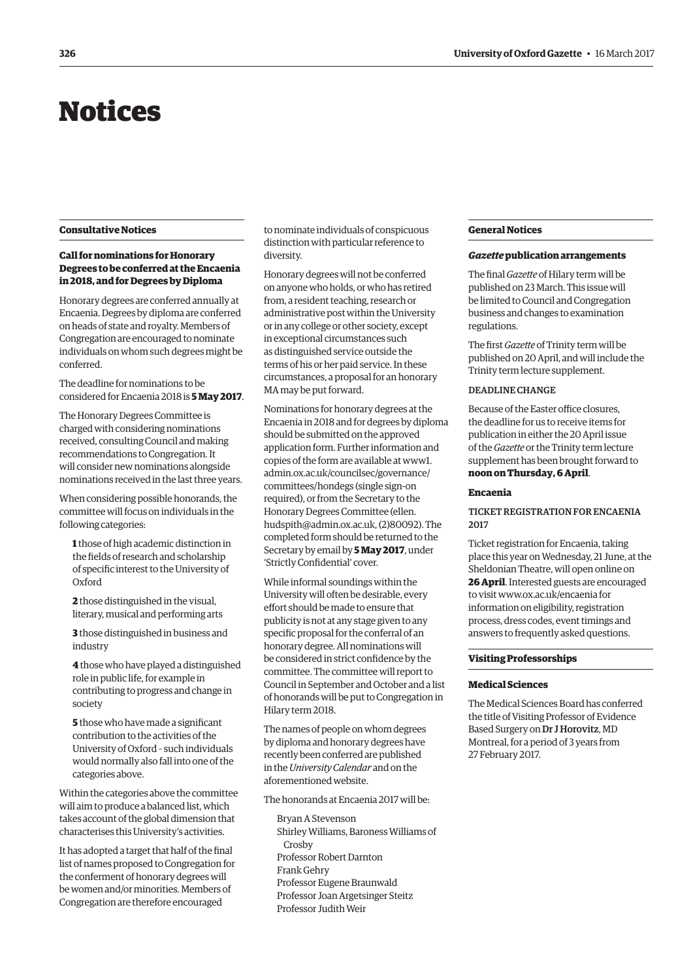## <span id="page-3-0"></span>Notices

#### **Consultative Notices**

#### **Call for nominations for Honorary Degrees to be conferred at the Encaenia in 2018, and for Degrees by Diploma**

Honorary degrees are conferred annually at Encaenia. Degrees by diploma are conferred on heads of state and royalty. Members of Congregation are encouraged to nominate individuals on whom such degrees might be conferred.

The deadline for nominations to be considered for Encaenia 2018 is **5 May 2017**.

The Honorary Degrees Committee is charged with considering nominations received, consulting Council and making recommendations to Congregation. It will consider new nominations alongside nominations received in the last three years.

When considering possible honorands, the committee will focus on individuals in the following categories:

**1** those of high academic distinction in the fields of research and scholarship of specific interest to the University of Oxford

**2** those distinguished in the visual, literary, musical and performing arts

**3** those distinguished in business and industry

**4** those who have played a distinguished role in public life, for example in contributing to progress and change in society

**5** those who have made a significant contribution to the activities of the University of Oxford – such individuals would normally also fall into one of the categories above.

Within the categories above the committee will aim to produce a balanced list, which takes account of the global dimension that characterises this University's activities.

It has adopted a target that half of the final list of names proposed to Congregation for the conferment of honorary degrees will be women and/or minorities. Members of Congregation are therefore encouraged

to nominate individuals of conspicuous distinction with particular reference to diversity.

Honorary degrees will not be conferred on anyone who holds, or who has retired from, a resident teaching, research or administrative post within the University or in any college or other society, except in exceptional circumstances such as distinguished service outside the terms of his or her paid service. In these circumstances, a proposal for an honorary MA may be put forward.

Nominations for honorary degrees at the Encaenia in 2018 and for degrees by diploma should be submitted on the approved application form. Further information and [copies of the form are available at www1.](www1.admin.ox.ac.uk/councilsec/governance/committees/hondegs) admin.ox.ac.uk/councilsec/governance/ committees/hondegs (single sign-on required), or from the Secretary to the Honorary Degrees Committee (ellen. [hudspith@admin.ox.ac.uk, \(2\)80092\). The](mailto:ellen.hudspith@admin.ox.ac.uk)  completed form should be returned to the Secretary by email by **5 May 2017**, under 'Strictly Confidential' cover.

While informal soundings within the University will often be desirable, every effort should be made to ensure that publicity is not at any stage given to any specific proposal for the conferral of an honorary degree. All nominations will be considered in strict confidence by the committee. The committee will report to Council in September and October and a list of honorands will be put to Congregation in Hilary term 2018.

The names of people on whom degrees by diploma and honorary degrees have recently been conferred are published in the *University Calendar* and on the aforementioned website.

The honorands at Encaenia 2017 will be:

Bryan A Stevenson Shirley Williams, Baroness Williams of Crosby Professor Robert Darnton Frank Gehry Professor Eugene Braunwald Professor Joan Argetsinger Steitz Professor Judith Weir

#### **General Notices**

#### *Gazette* **publication arrangements**

The final *Gazette* of Hilary term will be published on 23 March. This issue will be limited to Council and Congregation business and changes to examination regulations.

The first *Gazette* of Trinity term will be published on 20 April, and will include the Trinity term lecture supplement.

#### DEADLINE CHANGE

Because of the Easter office closures, the deadline for us to receive items for publication in either the 20 April issue of the *Gazette* or the Trinity term lecture supplement has been brought forward to **noon on Thursday, 6 April**.

#### **Encaenia**

#### TICKET REGISTRATION FOR ENCAENIA 2017

Ticket registration for Encaenia, taking place this year on Wednesday, 21 June, at the Sheldonian Theatre, will open online on **26 April**. Interested guests are encouraged to visit [www.ox.ac.uk/encaenia fo](http://www.ox.ac.uk/encaenia)r information on eligibility, registration process, dress codes, event timings and answers to frequently asked questions.

#### **Visiting Professorships**

#### **Medical Sciences**

The Medical Sciences Board has conferred the title of Visiting Professor of Evidence Based Surgery on Dr J Horovitz, MD Montreal, for a period of 3 years from 27 February 2017.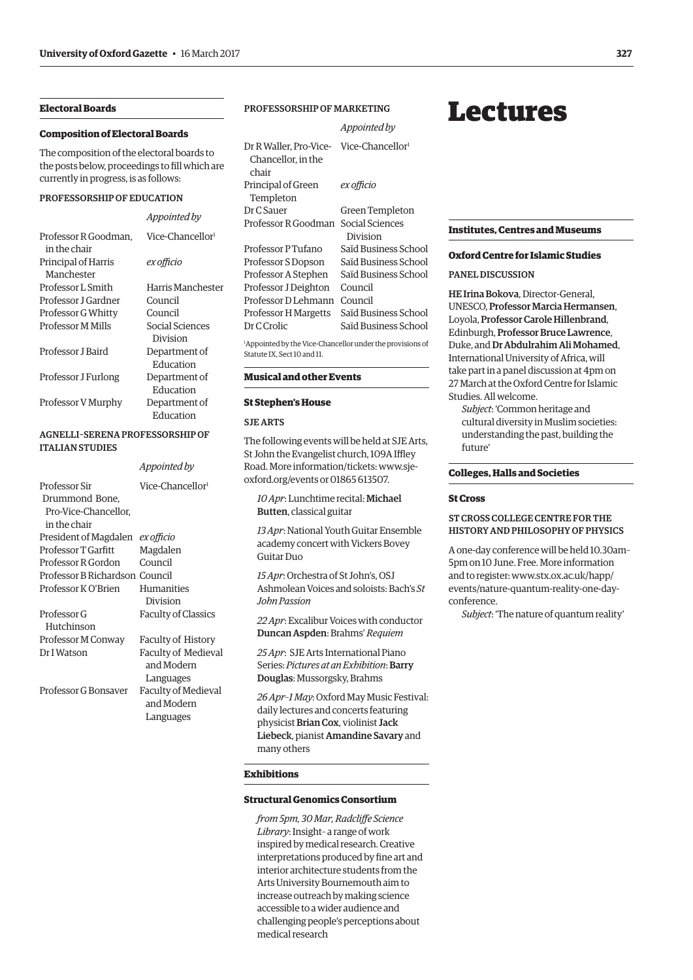#### <span id="page-4-0"></span>**Electoral Boards**

#### **Composition of Electoral Boards**

The composition of the electoral boards to the posts below, proceedings to fill which are currently in progress, is as follows:

#### PROFESSORSHIP OF EDUCATION

|                                      | Appointed by           |
|--------------------------------------|------------------------|
| Professor R Goodman.<br>in the chair | $V$ ice-Chancellor $1$ |
| Principal of Harris<br>Manchester    | ex officio             |
| Professor L Smith                    | Harris Manchester      |
| Professor I Gardner                  | Council                |
| Professor G Whitty                   | Council                |
| <b>Professor M Mills</b>             | Social Sciences        |
|                                      | Division               |
| Professor J Baird                    | Department of          |
|                                      | Education              |
| Professor J Furlong                  | Department of          |
|                                      | Education              |
| Professor V Murphy                   | Department of          |
|                                      | Education              |

#### AGNELLI–SERENA PROFESSORSHIP OF ITALIAN STUDIES

| Appointed by                     |
|----------------------------------|
| Vice-Chancellor <sup>1</sup>     |
|                                  |
|                                  |
|                                  |
| President of Magdalen ex officio |
| Magdalen                         |
| Council                          |
| Professor B Richardson Council   |
| Humanities                       |
| Division                         |
| <b>Faculty of Classics</b>       |
|                                  |
| <b>Faculty of History</b>        |
| <b>Faculty of Medieval</b>       |
| and Modern                       |
| Languages                        |
| Faculty of Medieval              |
| and Modern                       |
| Languages                        |
|                                  |

#### PROFESSORSHIP OF MARKETING

|                                                                                                      | Appointed by                 |
|------------------------------------------------------------------------------------------------------|------------------------------|
| Dr R Waller, Pro-Vice-<br>Chancellor, in the<br>chair                                                | Vice-Chancellor <sup>1</sup> |
| Principal of Green<br>Templeton                                                                      | ex officio                   |
| Dr C Sauer                                                                                           | Green Templeton              |
| Professor R Goodman                                                                                  | Social Sciences<br>Division  |
| Professor P Tufano                                                                                   | Saïd Business School         |
| Professor S Dopson                                                                                   | Saïd Business School         |
| Professor A Stephen                                                                                  | Saïd Business School         |
| Professor J Deighton                                                                                 | Council                      |
| Professor D Lehmann                                                                                  | Council                      |
| Professor H Margetts                                                                                 | Saïd Business School         |
| Dr C Crolic                                                                                          | Saïd Business School         |
| <sup>1</sup> Appointed by the Vice-Chancellor under the provisions of<br>Statute IX. Sect 10 and 11. |                              |

#### **Musical and other Events**

#### **St Stephen's House**

#### SJE ARTS

The following events will be held at SJE Arts, St John the Evangelist church, 109A Iffley [Road. More information/tickets: www.sje](www.sje-oxford.org/events)oxford.org/events or 01865 613507.

*10 Apr*: Lunchtime recital: Michael Butten, classical guitar

*13 Apr*: National Youth Guitar Ensemble academy concert with Vickers Bovey Guitar Duo

*15 Apr*: Orchestra of St John's, OSJ Ashmolean Voices and soloists: Bach's *St John Passion*

*22 Apr*: Excalibur Voices with conductor Duncan Aspden: Brahms' *Requiem*

*25 Apr*: SJE Arts International Piano Series: *Pictures at an Exhibition*: Barry Douglas: Mussorgsky, Brahms

*26 Apr–1 May*: Oxford May Music Festival: daily lectures and concerts featuring physicist Brian Cox, violinist Jack Liebeck, pianist Amandine Savary and many others

#### **Exhibitions**

#### **Structural Genomics Consortium**

*from 5pm, 30 Mar, Radcliffe Science Library*: Insight– a range of work inspired by medical research. Creative interpretations produced by fine art and interior architecture students from the Arts University Bournemouth aim to increase outreach by making science accessible to a wider audience and challenging people's perceptions about medical research

## Lectures

#### **Institutes, Centres and Museums**

#### **Oxford Centre for Islamic Studies**

#### PANEL DISCUSSION

HE Irina Bokova, Director-General, UNESCO, Professor Marcia Hermansen, Loyola, Professor Carole Hillenbrand, Edinburgh, Professor Bruce Lawrence, Duke, and Dr Abdulrahim Ali Mohamed, International University of Africa, will take part in a panel discussion at 4pm on 27 March at the Oxford Centre for Islamic Studies. All welcome.

*Subject*: 'Common heritage and cultural diversity in Muslim societies: understanding the past, building the future'

#### **Colleges, Halls and Societies**

#### **St Cross**

#### ST CROSS COLLEGE CENTRE FOR THE HISTORY AND PHILOSOPHY OF PHYSICS

A one-day conference will be held 10.30am– 5pm on 10 June. Free. More information and to register: www.stx.ox.ac.uk/happ/ [events/nature-quantum-reality-one-day](www.stx.ox.ac.uk/happ/events/nature-quantum-reality-one-day-conference)conference.

*Subject*: 'The nature of quantum reality'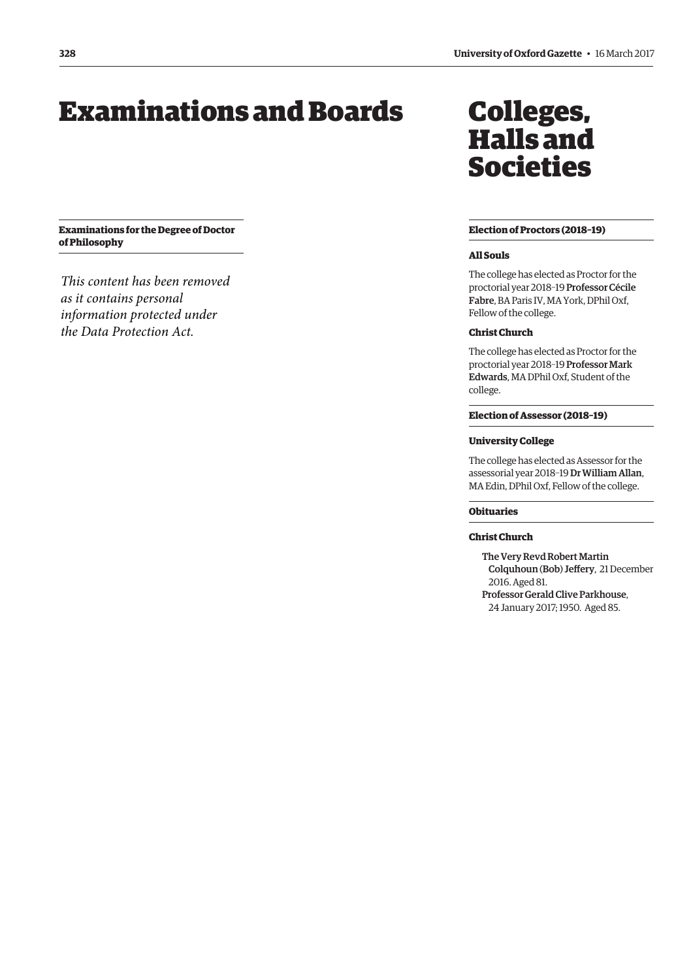## <span id="page-5-0"></span>Examinations and Boards

**Examinations for the Degree of Doctor of Philosophy**

*This content has been removed as it contains personal information protected under the Data Protection Act.*

## Colleges, Halls and Societies

#### **Election of Proctors (2018–19)**

#### **All Souls**

The college has elected as Proctor for the proctorial year 2018–19 Professor Cécile Fabre, BA Paris IV, MA York, DPhil Oxf, Fellow of the college.

#### **Christ Church**

The college has elected as Proctor for the proctorial year 2018–19 Professor Mark Edwards, MA DPhil Oxf, Student of the college.

#### **Election of Assessor (2018–19)**

#### **University College**

The college has elected as Assessor for the assessorial year 2018–19 Dr William Allan, MA Edin, DPhil Oxf, Fellow of the college.

#### **Obituaries**

#### **Christ Church**

The Very Revd Robert Martin Colquhoun (Bob) Jeffery, 21 December 2016. Aged 81. Professor Gerald Clive Parkhouse,

24 January 2017; 1950. Aged 85.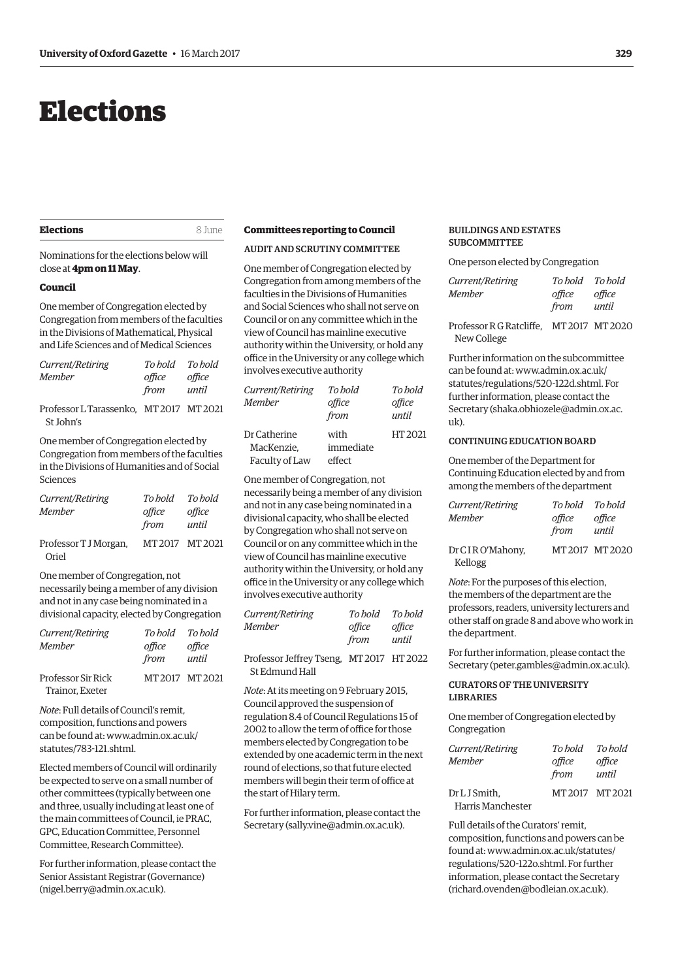## <span id="page-6-0"></span>Elections

#### **Elections** 8 June

Nominations for the elections below will close at **4pm on 11 May**.

#### **Council**

One member of Congregation elected by Congregation from members of the faculties in the Divisions of Mathematical, Physical and Life Sciences and of Medical Sciences

| Current/Retiring<br>Member |                                         | office<br>from until | To hold To hold<br>office |
|----------------------------|-----------------------------------------|----------------------|---------------------------|
| St John's                  | Professor L Tarassenko, MT 2017 MT 2021 |                      |                           |
|                            |                                         |                      |                           |

One member of Congregation elected by Congregation from members of the faculties in the Divisions of Humanities and of Social Sciences

| Current/Retiring               | To bold        | To hold         |
|--------------------------------|----------------|-----------------|
| Member                         | office<br>from | office<br>until |
| Professor T J Morgan,<br>Oriel | MT2017 MT2021  |                 |

One member of Congregation, not necessarily being a member of any division and not in any case being nominated in a divisional capacity, elected by Congregation

| Current/Retiring          | To hold | To hold         |
|---------------------------|---------|-----------------|
| Member                    | office  | office          |
|                           | from    | until           |
| <b>Professor Sir Rick</b> |         | MT 2017 MT 2021 |
| Trainor, Exeter           |         |                 |

*Note*: Full details of Council's remit, composition, functions and powers [can be found at: www.admin.ox.ac.uk/](www.admin.ox.ac.uk/statutes/783-121.shtml) statutes/783-121.shtml.

Elected members of Council will ordinarily be expected to serve on a small number of other committees (typically between one and three, usually including at least one of the main committees of Council, ie PRAC, GPC, Education Committee, Personnel Committee, Research Committee).

For further information, please contact the Senior Assistant Registrar (Governance) ([nigel.berry@admin.ox.ac.uk\).](mailto:nigel.berry@admin.ox.ac.uk)

#### **Committees reporting to Council**

AUDIT AND SCRUTINY COMMITTEE

One member of Congregation elected by Congregation from among members of the faculties in the Divisions of Humanities and Social Sciences who shall not serve on Council or on any committee which in the view of Council has mainline executive authority within the University, or hold any office in the University or any college which involves executive authority

| To hold   | To bold |
|-----------|---------|
| office    | office  |
| from      | until   |
| with      | HT 2021 |
| immediate |         |
| effect    |         |
|           |         |

One member of Congregation, not necessarily being a member of any division and not in any case being nominated in a divisional capacity, who shall be elected by Congregation who shall not serve on Council or on any committee which in the view of Council has mainline executive authority within the University, or hold any office in the University or any college which involves executive authority

| Current/Retiring | To bold | To bold |
|------------------|---------|---------|
| Member           | office  | office  |
|                  | from    | until   |

Professor Jeffrey Tseng, MT 2017 HT 2022 St Edmund Hall

*Note*: At its meeting on 9 February 2015, Council approved the suspension of regulation 8.4 of Council Regulations 15 of 2002 to allow the term of office for those members elected by Congregation to be extended by one academic term in the next round of elections, so that future elected members will begin their term of office at the start of Hilary term.

For further information, please contact the Secretary ([sally.vine@admin.ox.ac.uk\).](mailto:sally.vine@admin.ox.ac.uk)

#### BUILDINGS AND ESTATES **SUBCOMMITTEE**

One person elected by Congregation

| Current/Retiring | To hold To hold |        |
|------------------|-----------------|--------|
| Member           | office          | office |
|                  | from            | until  |

Professor R G Ratcliffe, MT 2017 MT 2020 New College

Further information on the subcommittee  $can be found at: www.admin.ox.ac.uk/$ [statutes/regulations/520-122d.shtml. For](www.admin.ox.ac.uk/statutes/regulations/520-122d.shtml)  further information, please contact the Secretary ([shaka.obhiozele@admin.ox.ac.](mailto:shaka.obhiozele@admin.ox.ac.uk)  $11k$ ).

#### CONTINUING EDUCATION BOARD

One member of the Department for Continuing Education elected by and from among the members of the department

| Current/Retiring | To hold To hold |                 |
|------------------|-----------------|-----------------|
| Member           | office          | office          |
|                  | from            | until           |
| Dr CIRO'Mahony,  |                 | MT 2017 MT 2020 |
| Kellogg          |                 |                 |

*Note*: For the purposes of this election, the members of the department are the professors, readers, university lecturers and other staff on grade 8 and above who work in the department.

For further information, please contact the Secretary ([peter.gambles@admin.ox.ac.uk\).](mailto:peter.gambles@admin.ox.ac.uk)

#### CURATORS OF THE UNIVERSITY LIBRARIES

One member of Congregation elected by Congregation

| Current/Retiring<br><b>Member</b>  | To bold<br>office<br>from | To hold<br>office<br>until |
|------------------------------------|---------------------------|----------------------------|
| Dr L J Smith,<br>Harris Manchester | MT2017 MT2021             |                            |

Full details of the Curators' remit, composition, functions and powers can be [found at: www.admin.ox.ac.uk/statutes/](www.admin.ox.ac.uk/statutes/regulations/520-122o.shtml) regulations/520-122o.shtml. For further information, please contact the Secretary [\(richard.ovenden@bodleian.ox.ac.uk\).](mailto:richard.ovenden@bodleian.ox.ac.uk)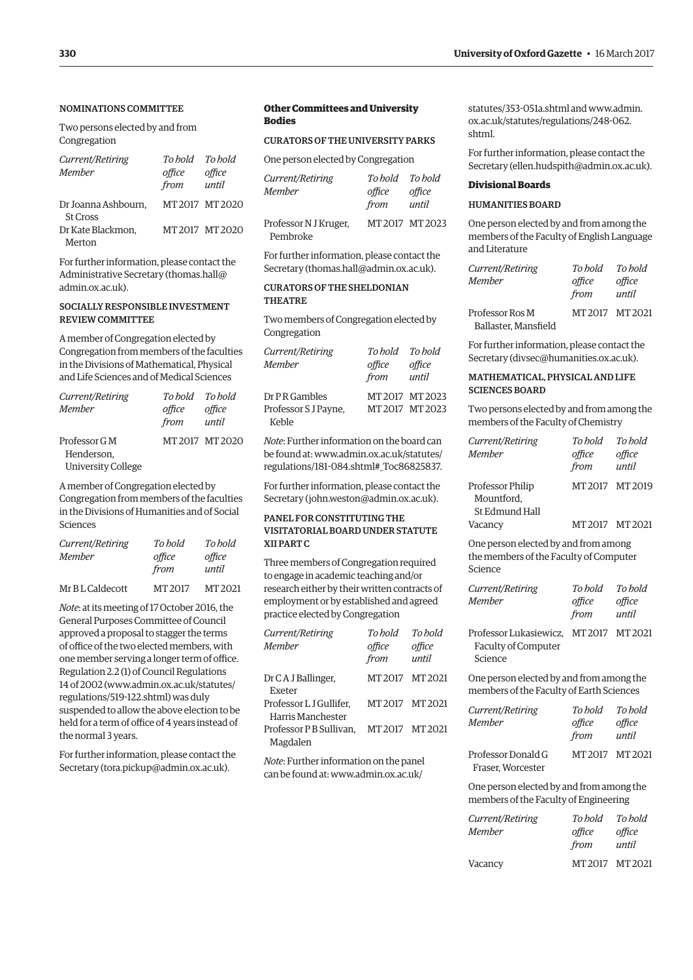#### NOMINATIONS COMMITTEE

Two persons elected by and from Congregation

| Current/Retiring<br>Member             | To hold To hold<br>office<br>from | office<br>until |
|----------------------------------------|-----------------------------------|-----------------|
| Dr Joanna Ashbourn.<br><b>St Cross</b> |                                   | MT 2017 MT 2020 |
| Dr Kate Blackmon.<br>Merton            |                                   | MT 2017 MT 2020 |
|                                        |                                   |                 |

For further information, please contact the Administrative Secretary ([thomas.hall@](mailto:thomas.hall@admin.ox.ac.uk) [admin.ox.ac.uk\).](mailto:thomas.hall@admin.ox.ac.uk)

#### SOCIALLY RESPONSIBLE INVESTMENT REVIEW COMMITTEE

A member of Congregation elected by Congregation from members of the faculties in the Divisions of Mathematical, Physical and Life Sciences and of Medical Sciences

| Current/Retiring   | To hold To hold |                 |
|--------------------|-----------------|-----------------|
| Member             | office          | office          |
|                    | from            | until           |
| Professor G M      |                 | MT 2017 MT 2020 |
| Henderson.         |                 |                 |
| University College |                 |                 |

A member of Congregation elected by Congregation from members of the faculties in the Divisions of Humanities and of Social Sciences

| Current/Retiring<br>Member | To hold<br>office<br>from | To hold<br>office<br>until |
|----------------------------|---------------------------|----------------------------|
| Mr B L Caldecott           | MT 2017                   | MT 2021                    |

*Note*: at its meeting of 17 October 2016, the General Purposes Committee of Council approved a proposal to stagger the terms of office of the two elected members, with one member serving a longer term of office. Regulation 2.2 (1) of Council Regulations 14 of 2002 [\(www.admin.ox.ac.uk/statutes/](http://www.admin.ox.ac.uk/statutes/regulations/519-122.shtml) [regulations/519-122.shtml\) wa](http://www.admin.ox.ac.uk/statutes/regulations/519-122.shtml)s duly suspended to allow the above election to be held for a term of office of 4 years instead of the normal 3 years.

For further information, please contact the Secretary [\(tora.pickup@admin.ox.ac.uk\).](mailto:tora.pickup@admin.ox.ac.uk)

#### **Other Committees and University Bodies**

#### CURATORS OF THE UNIVERSITY PARKS

One person elected by Congregation

| Current/Retiring<br>Member | To hold To hold<br>office<br>from | office<br>until |
|----------------------------|-----------------------------------|-----------------|
| Professor N J Kruger,      |                                   | MT2017 MT2023   |
| Pembroke                   |                                   |                 |

For further information, please contact the Secretary ([thomas.hall@admin.ox.ac.uk\).](mailto:thomas.hall@admin.ox.ac.uk)

#### CURATORS OF THE SHELDONIAN THEATRE

Two members of Congregation elected by Congregation

| Current/Retiring     | To hold To hold |               |
|----------------------|-----------------|---------------|
| Member               | office          | office        |
|                      | from            | until         |
| Dr P R Gambles       |                 | MT2017 MT2023 |
| Professor S J Payne, | MT 2017 MT 2023 |               |
| Keble                |                 |               |

*Note*: Further information on the board can [be found at: www.admin.ox.ac.uk/statutes/](www.admin.ox.ac.uk/statutes/regulations/181-084.shtml#_Toc86825837) regulations/181-084.shtml#\_Toc86825837.

For further information, please contact the Secretary ([john.weston@admin.ox.ac.uk\).](mailto:john.weston@admin.ox.ac.uk)

#### PANEL FOR CONSTITUTING THE VISITATORIAL BOARD UNDER STATUTE XII PART C

Three members of Congregation required to engage in academic teaching and/or research either by their written contracts of employment or by established and agreed practice elected by Congregation

| Current/Retiring        | To hold | To hold |
|-------------------------|---------|---------|
| <b>Member</b>           | office  | office  |
|                         | from    | until   |
| Dr C A J Ballinger,     | MT 2017 | MT2021  |
| Exeter                  |         |         |
| Professor L J Gullifer. | MT 2017 | MT 2021 |
| Harris Manchester       |         |         |
| Professor P B Sullivan. | MT 2017 | MT 2021 |
| Magdalen                |         |         |

*Note*: Further information on the panel can be found [at: www.admin.ox.ac.uk/](www.admin.ox.ac.uk/statutes/353-051a.shtml)

statutes/353-051a.shtml and www.admin. [ox.ac.uk/statutes/regulations/248-062.](www.admin.ox.ac.uk/statutes/regulations/248-062.shtml) shtml.

For further information, please contact the Secretary ([ellen.hudspith@admin.ox.ac.uk\).](mailto:ellen.hudspith@admin.ox.ac.uk)

#### **Divisional Boards**

#### HUMANITIES BOARD

One person elected by and from among the members of the Faculty of English Language and Literature

| Current/Retiring     | To hold | To hold         |
|----------------------|---------|-----------------|
| <b>Member</b>        | office  | office          |
|                      | from    | until           |
| Professor Ros M      |         | MT 2017 MT 2021 |
| Ballaster, Mansfield |         |                 |

For further information, please contact the Secretary ([divsec@humanities.ox.ac.uk\).](mailto:divsec@humanities.ox.ac.uk)

#### MATHEMATICAL, PHYSICAL AND LIFE SCIENCES BOARD

Two persons elected by and from among the members of the Faculty of Chemistry

| Current/Retiring                                                                          | To hold                   | To hold                    |
|-------------------------------------------------------------------------------------------|---------------------------|----------------------------|
| Member                                                                                    | office<br>from            | office<br>until            |
| <b>Professor Philip</b><br>Mountford,<br>St Edmund Hall                                   | MT 2017                   | MT 2019                    |
| Vacancy                                                                                   | MT 2017                   | MT 2021                    |
| One person elected by and from among<br>the members of the Faculty of Computer<br>Science |                           |                            |
| Current/Retiring<br>Member                                                                | To bold<br>office<br>from | To hold<br>office<br>until |
| Professor Lukasiewicz, MT 2017 MT 2021<br>Faculty of Computer<br>Science                  |                           |                            |
| One person elected by and from among the<br>members of the Faculty of Earth Sciences      |                           |                            |
| Current/Retiring<br>Member                                                                | To bold<br>office<br>from | To hold<br>office<br>until |
| Professor Donald G<br>Fraser, Worcester                                                   | MT2017 MT2021             |                            |

One person elected by and from among the members of the Faculty of Engineering

| Current/Retiring<br><b>Member</b> | To bold<br>office<br>from | To hold<br>office<br>until |
|-----------------------------------|---------------------------|----------------------------|
| Vacancy                           | MT 2017 MT 2021           |                            |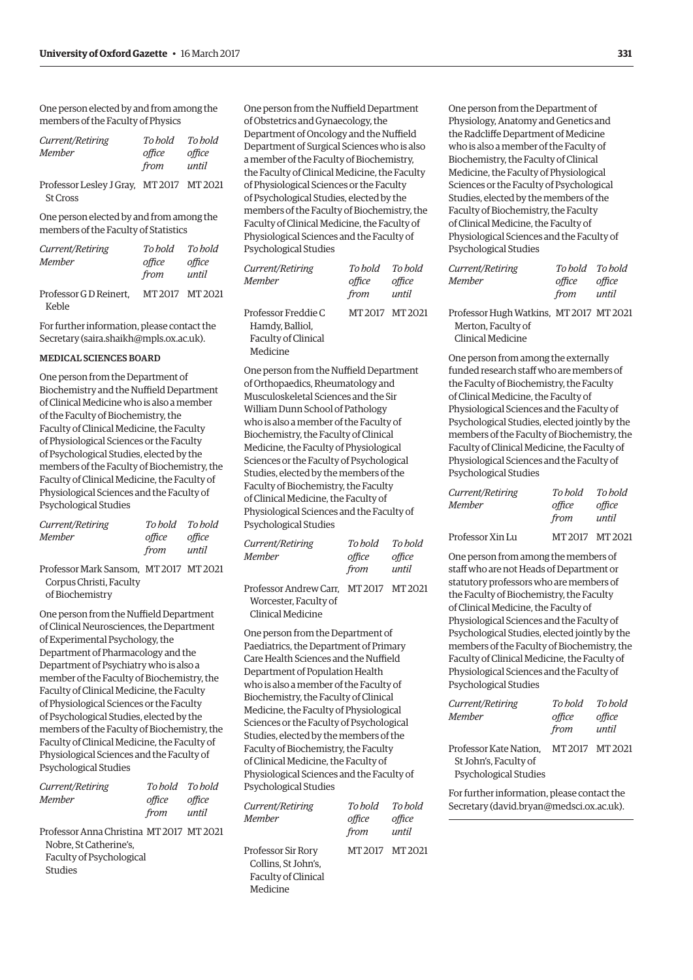One person elected by and from among the members of the Faculty of Physics

| Current/Retiring | To bold | To hold |
|------------------|---------|---------|
| Member           | office  | office  |
|                  | from    | until   |
|                  |         |         |

Professor Lesley J Gray, MT 2017 MT 2021 St Cross

One person elected by and from among the members of the Faculty of Statistics

| Current/Retiring                               | To hold | To hold |
|------------------------------------------------|---------|---------|
| Member                                         | office  | office  |
|                                                | from    | until   |
| Professor GD Reinert. MT 2017 MT 2021<br>Keble |         |         |

For further information, please contact the Secretary [\(saira.shaikh@mpls.ox.ac.uk\).](mailto:saira.shaikh@mpls.ox.ac.uk)

#### MEDICAL SCIENCES BOARD

One person from the Department of Biochemistry and the Nuffield Department of Clinical Medicine who is also a member of the Faculty of Biochemistry, the Faculty of Clinical Medicine, the Faculty of Physiological Sciences or the Faculty of Psychological Studies, elected by the members of the Faculty of Biochemistry, the Faculty of Clinical Medicine, the Faculty of Physiological Sciences and the Faculty of Psychological Studies

|        | To hold To hold |
|--------|-----------------|
| office | office          |
| from   | until           |
|        |                 |

Professor Mark Sansom, MT 2017 MT 2021 Corpus Christi, Faculty of Biochemistry

One person from the Nuffield Department of Clinical Neurosciences, the Department of Experimental Psychology, the Department of Pharmacology and the Department of Psychiatry who is also a member of the Faculty of Biochemistry, the Faculty of Clinical Medicine, the Faculty of Physiological Sciences or the Faculty of Psychological Studies, elected by the members of the Faculty of Biochemistry, the Faculty of Clinical Medicine, the Faculty of Physiological Sciences and the Faculty of Psychological Studies

| <i>Current/Retiring</i> |        | To hold To hold |
|-------------------------|--------|-----------------|
| Member                  | office | office          |
|                         | from   | until           |
|                         |        |                 |

Professor Anna Christina MT 2017 MT 2021 Nobre, St Catherine's, Faculty of Psychological Studies

One person from the Nuffield Department of Obstetrics and Gynaecology, the Department of Oncology and the Nuffield Department of Surgical Sciences who is also a member of the Faculty of Biochemistry, the Faculty of Clinical Medicine, the Faculty of Physiological Sciences or the Faculty of Psychological Studies, elected by the members of the Faculty of Biochemistry, the Faculty of Clinical Medicine, the Faculty of Physiological Sciences and the Faculty of Psychological Studies

| Current/Retiring                                              | To hold | To hold         |
|---------------------------------------------------------------|---------|-----------------|
| Member                                                        | office  | office          |
|                                                               | from    | until           |
| Professor Freddie C<br>Hamdy, Balliol,<br>Faculty of Clinical |         | MT 2017 MT 2021 |
| Medicine                                                      |         |                 |

One person from the Nuffield Department of Orthopaedics, Rheumatology and Musculoskeletal Sciences and the Sir William Dunn School of Pathology who is also a member of the Faculty of Biochemistry, the Faculty of Clinical Medicine, the Faculty of Physiological Sciences or the Faculty of Psychological Studies, elected by the members of the Faculty of Biochemistry, the Faculty of Clinical Medicine, the Faculty of Physiological Sciences and the Faculty of Psychological Studies

| Current/Retiring                       | To hold | To bold |
|----------------------------------------|---------|---------|
| Member                                 | office  | office  |
|                                        | from    | until   |
| Professor Andrew Carr, MT 2017 MT 2021 |         |         |

 Worcester, Faculty of Clinical Medicine

One person from the Department of Paediatrics, the Department of Primary Care Health Sciences and the Nuffield Department of Population Health who is also a member of the Faculty of Biochemistry, the Faculty of Clinical Medicine, the Faculty of Physiological Sciences or the Faculty of Psychological Studies, elected by the members of the Faculty of Biochemistry, the Faculty of Clinical Medicine, the Faculty of Physiological Sciences and the Faculty of Psychological Studies

| Current/Retiring<br>Member | To bold<br>office<br>from | To bold<br>office<br>until |
|----------------------------|---------------------------|----------------------------|
| Professor Sir Rory         | MT 2017 MT 2021           |                            |
| Collins. St John's.        |                           |                            |
| Faculty of Clinical        |                           |                            |

Medicine

One person from the Department of Physiology, Anatomy and Genetics and the Radcliffe Department of Medicine who is also a member of the Faculty of Biochemistry, the Faculty of Clinical Medicine, the Faculty of Physiological Sciences or the Faculty of Psychological Studies, elected by the members of the Faculty of Biochemistry, the Faculty of Clinical Medicine, the Faculty of Physiological Sciences and the Faculty of Psychological Studies

| Current/Retiring                  | To hold To hold |        |
|-----------------------------------|-----------------|--------|
| Member                            | office          | office |
|                                   | from            | until  |
| <b>DEC TELEVILLE MEDOLE MEDOC</b> |                 |        |

Professor Hugh Watkins, MT 2017 MT 2021 Merton, Faculty of Clinical Medicine

One person from among the externally funded research staff who are members of the Faculty of Biochemistry, the Faculty of Clinical Medicine, the Faculty of Physiological Sciences and the Faculty of Psychological Studies, elected jointly by the members of the Faculty of Biochemistry, the Faculty of Clinical Medicine, the Faculty of Physiological Sciences and the Faculty of Psychological Studies

| Current/Retiring | To hold | To hold |
|------------------|---------|---------|
| Member           | office  | office  |
|                  | from    | until   |
|                  |         |         |

Professor Xin Lu MT 2017 MT 2021

One person from among the members of staff who are not Heads of Department or statutory professors who are members of the Faculty of Biochemistry, the Faculty of Clinical Medicine, the Faculty of Physiological Sciences and the Faculty of Psychological Studies, elected jointly by the members of the Faculty of Biochemistry, the Faculty of Clinical Medicine, the Faculty of Physiological Sciences and the Faculty of Psychological Studies

| Current/Retiring<br>Member | To bold<br>office<br>from | To bold<br>office<br>until |
|----------------------------|---------------------------|----------------------------|
| Professor Kate Nation.     | MT 2017 MT 2021           |                            |
| St John's, Faculty of      |                           |                            |
| Psychological Studies      |                           |                            |

For further information, please contact the Secretary ([david.bryan@medsci.ox.ac.uk\).](mailto:david.bryan@medsci.ox.ac.uk)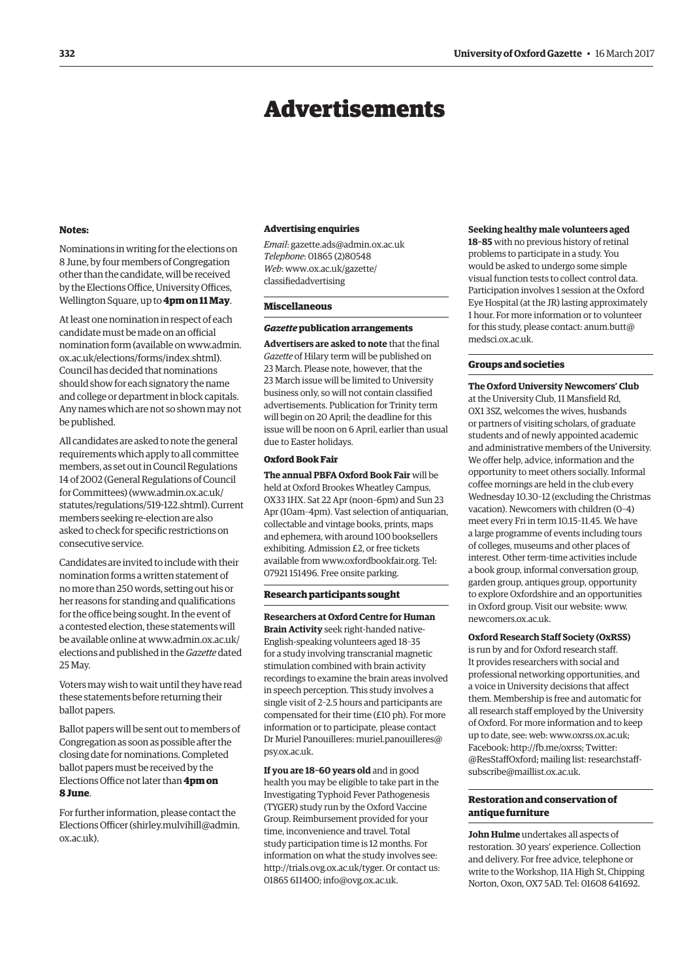## Advertisements

#### <span id="page-9-0"></span>**Notes:**

Nominations in writing for the elections on 8 June, by four members of Congregation other than the candidate, will be received by the Elections Office, University Offices, Wellington Square, up to **4pm on 11 May**.

At least one nomination in respect of each candidate must be made on an official [nomination form \(available on www.admin.](www.admin.ox.ac.uk/elections/forms/index.shtml) ox.ac.uk/elections/forms/index.shtml). Council has decided that nominations should show for each signatory the name and college or department in block capitals. Any names which are not so shown may not be published.

All candidates are asked to note the general requirements which apply to all committee members, as set out in Council Regulations 14 of 2002 (General Regulations of Council for Committees) [\(www.admin.ox.ac.uk/](http://www.admin.ox.ac.uk/statutes/regulations/519-122.shtml) [statutes/regulations/519-122.shtml\). Cu](http://www.admin.ox.ac.uk/statutes/regulations/519-122.shtml)rrent members seeking re-election are also asked to check for specific restrictions on consecutive service.

Candidates are invited to include with their nomination forms a written statement of no more than 250 words, setting out his or her reasons for standing and qualifications for the office being sought. In the event of a contested election, these statements will [be available online at www.admin.ox.ac.uk/](www.admin.ox.ac.uk/elections) elections and published in the *Gazette* dated 25 May.

Voters may wish to wait until they have read these statements before returning their ballot papers.

Ballot papers will be sent out to members of Congregation as soon as possible after the closing date for nominations. Completed ballot papers must be received by the Elections Office not later than **4pm on 8 June**.

For further information, please contact the Elections Officer [\(shirley.mulvihill@admin.](mailto:shirley.mulvihill@admin.ox.ac.uk) [ox.ac.uk\).](mailto:shirley.mulvihill@admin.ox.ac.uk) 

#### **Advertising enquiries**

*Email*: [gazette.ads@admin.ox.ac.uk](mailto:gazette.ads@admin.ox.ac.uk) *Telephone*: 01865 (2)80548 *Web*[: www.ox.ac.uk/gazette/](www.ox.ac.uk/gazette/classifiedadvertising) classifiedadvertising

#### **Miscellaneous**

#### *Gazette* **publication arrangements**

**Advertisers are asked to note** that the final *Gazette* of Hilary term will be published on 23 March. Please note, however, that the 23 March issue will be limited to University business only, so will not contain classified advertisements. Publication for Trinity term will begin on 20 April; the deadline for this issue will be noon on 6 April, earlier than usual due to Easter holidays.

#### **Oxford Book Fair**

**The annual PBFA Oxford Book Fair** will be held at Oxford Brookes Wheatley Campus, OX33 1HX. Sat 22 Apr (noon–6pm) and Sun 23 Apr (10am–4pm). Vast selection of antiquarian, collectable and vintage books, prints, maps and ephemera, with around 100 booksellers exhibiting. Admission £2, or free tickets available from [www.oxfordbookfair.org. Te](http://www.oxfordbookfair.org)l: 07921 151496. Free onsite parking.

#### **Research participants sought**

**Researchers at Oxford Centre for Human Brain Activity** seek right-handed native-English-speaking volunteers aged 18–35 for a study involving transcranial magnetic stimulation combined with brain activity recordings to examine the brain areas involved in speech perception. This study involves a single visit of 2–2.5 hours and participants are compensated for their time (£10 ph). For more information or to participate, please contact [Dr Muriel Panouilleres: muriel.panouilleres@](mailto:muriel.panouilleres@psy.ox.ac.uk) psy.ox.ac.uk.

**If you are 18–60 years old** and in good health you may be eligible to take part in the Investigating Typhoid Fever Pathogenesis (TYGER) study run by the Oxford Vaccine Group. Reimbursement provided for your time, inconvenience and travel. Total study participation time is 12 months. For information on what the study involves see: [http://trials.ovg.ox.ac.uk/tyger. Or](http://trials.ovg.ox.ac.uk/tyger) contact us: 01865 611400; [info@ovg.ox.ac.uk.](mailto:info@ovg.ox.ac.uk)

#### **Seeking healthy male volunteers aged**

**18–85** with no previous history of retinal problems to participate in a study. You would be asked to undergo some simple visual function tests to collect control data. Participation involves 1 session at the Oxford Eye Hospital (at the JR) lasting approximately 1 hour. For more information or to volunteer [for this study, please contact: anum.butt@](mailto:anum.butt@medsci.ox.ac.uk) medsci.ox.ac.uk.

#### **Groups and societies**

**The Oxford University Newcomers' Club** at the University Club, 11 Mansfield Rd, OX1 3SZ, welcomes the wives, husbands or partners of visiting scholars, of graduate students and of newly appointed academic and administrative members of the University. We offer help, advice, information and the opportunity to meet others socially. Informal coffee mornings are held in the club every Wednesday 10.30–12 (excluding the Christmas vacation). Newcomers with children (0–4) meet every Fri in term 10.15–11.45. We have a large programme of events including tours of colleges, museums and other places of interest. Other term-time activities include a book group, informal conversation group, garden group, antiques group, opportunity to explore Oxfordshire and an opportunities in Oxford group. Visit our website: [www.](http://www.newcomers.ox.ac.uk) [newcomers.ox.ac.uk.](http://www.newcomers.ox.ac.uk)

#### **Oxford Research Staff Society (OxRSS)**

is run by and for Oxford research staff. It provides researchers with social and professional networking opportunities, and a voice in University decisions that affect them. Membership is free and automatic for all research staff employed by the University of Oxford. For more information and to keep up to date, see: web: [www.oxrss.ox.ac.uk;](http://www.oxrss.ox.ac.uk)  Facebook: [http://fb.me/oxrss; Tw](http://fb.me/oxrss)itter: @ResStaffOxford; mailing list: researchstaff[subscribe@maillist.ox.ac.uk.](mailto:researchstaff-subscribe@maillist.ox.ac.uk)

#### **Restoration and conservation of antique furniture**

**John Hulme** undertakes all aspects of restoration. 30 years' experience. Collection and delivery. For free advice, telephone or write to the Workshop, 11A High St, Chipping Norton, Oxon, OX7 5AD. Tel: 01608 641692.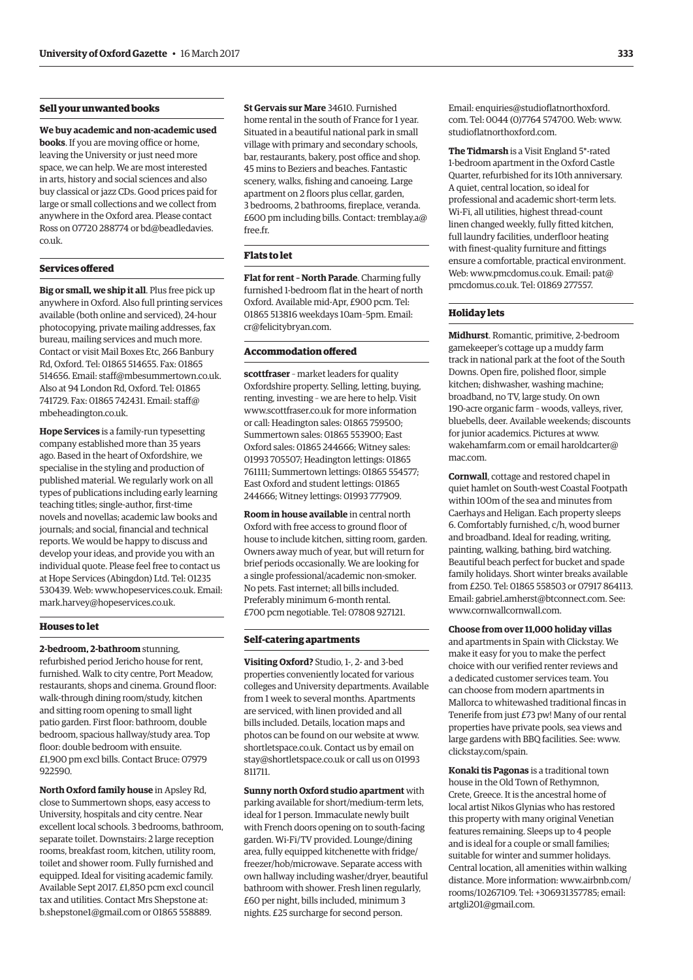#### **Sell your unwanted books**

**We buy academic and non-academic used books**. If you are moving office or home, leaving the University or just need more space, we can help. We are most interested in arts, history and social sciences and also buy classical or jazz CDs. Good prices paid for large or small collections and we collect from anywhere in the Oxford area. Please contact [Ross on 07720 288774 or bd@beadledavies.](mailto:bd@beadledavies.co.uk) co.uk.

#### **Services offered**

**Big or small, we ship it all**. Plus free pick up anywhere in Oxford. Also full printing services available (both online and serviced), 24-hour photocopying, private mailing addresses, fax bureau, mailing services and much more. Contact or visit Mail Boxes Etc, 266 Banbury Rd, Oxford. Tel: 01865 514655. Fax: 01865 514656. Email: [staff@mbesummertown.co.uk.](mailto:staff@mbesummertown.co.uk)  Also at 94 London Rd, Oxford. Tel: 01865 [741729. Fax: 01865 742431. Email: staff@](mailto:staff@mbeheadington.co.uk) mbeheadington.co.uk.

**Hope Services** is a family-run typesetting company established more than 35 years ago. Based in the heart of Oxfordshire, we specialise in the styling and production of published material. We regularly work on all types of publications including early learning teaching titles; single-author, first-time novels and novellas; academic law books and journals; and social, financial and technical reports. We would be happy to discuss and develop your ideas, and provide you with an individual quote. Please feel free to contact us at Hope Services (Abingdon) Ltd. Tel: 01235 530439. Web: [www.hopeservices.co.uk. Em](http://www.hopeservices.co.uk)ail: [mark.harvey@hopeservices.co.uk.](mailto:mark.harvey@hopeservices.co.uk)

#### **Houses to let**

**2-bedroom, 2-bathroom** stunning, refurbished period Jericho house for rent, furnished. Walk to city centre, Port Meadow, restaurants, shops and cinema. Ground floor: walk-through dining room/study, kitchen and sitting room opening to small light patio garden. First floor: bathroom, double bedroom, spacious hallway/study area. Top floor: double bedroom with ensuite. £1,900 pm excl bills. Contact Bruce: 07979 922590.

**North Oxford family house** in Apsley Rd, close to Summertown shops, easy access to University, hospitals and city centre. Near excellent local schools. 3 bedrooms, bathroom, separate toilet. Downstairs: 2 large reception rooms, breakfast room, kitchen, utility room, toilet and shower room. Fully furnished and equipped. Ideal for visiting academic family. Available Sept 2017. £1,850 pcm excl council tax and utilities. Contact Mrs Shepstone at: [b.shepstone1@gmail.com or](mailto:b.shepstone1@gmail.com) 01865 558889.

**St Gervais sur Mare** 34610. Furnished home rental in the south of France for 1 year. Situated in a beautiful national park in small village with primary and secondary schools, bar, restaurants, bakery, post office and shop. 45 mins to Beziers and beaches. Fantastic scenery, walks, fishing and canoeing. Large apartment on 2 floors plus cellar, garden, 3 bedrooms, 2 bathrooms, fireplace, veranda. [£600 pm including bills. Contact: tremblay.a@](mailto:tremblay.a@free.fr) free.fr.

#### **Flats to let**

**Flat for rent – North Parade**. Charming fully furnished 1-bedroom flat in the heart of north Oxford. Available mid-Apr, £900 pcm. Tel: 01865 513816 weekdays 10am–5pm. Email: [cr@felicitybryan.com.](mailto:cr@felicitybryan.com)

#### **Accommodation offered**

**scottfraser** – market leaders for quality Oxfordshire property. Selling, letting, buying, renting, investing – we are here to help. Visit [www.scottfraser.co.uk fo](http://www.scottfraser.co.uk)r more information or call: Headington sales: 01865 759500; Summertown sales: 01865 553900; East Oxford sales: 01865 244666; Witney sales: 01993 705507; Headington lettings: 01865 761111; Summertown lettings: 01865 554577; East Oxford and student lettings: 01865 244666; Witney lettings: 01993 777909.

**Room in house available** in central north Oxford with free access to ground floor of house to include kitchen, sitting room, garden. Owners away much of year, but will return for brief periods occasionally. We are looking for a single professional/academic non-smoker. No pets. Fast internet; all bills included. Preferably minimum 6-month rental. £700 pcm negotiable. Tel: 07808 927121.

#### **Self-catering apartments**

**Visiting Oxford?** Studio, 1-, 2- and 3-bed properties conveniently located for various colleges and University departments. Available from 1 week to several months. Apartments are serviced, with linen provided and all bills included. Details, location maps and photos can be found on our website at [www.](http://www.shortletspace.co.uk) [shortletspace.co.uk. Co](http://www.shortletspace.co.uk)ntact us by email on [stay@shortletspace.co.uk or](mailto:stay@shortletspace.co.uk) call us on 01993 811711.

**Sunny north Oxford studio apartment** with parking available for short/medium-term lets, ideal for 1 person. Immaculate newly built with French doors opening on to south-facing garden. Wi-Fi/TV provided. Lounge/dining area, fully equipped kitchenette with fridge/ freezer/hob/microwave. Separate access with own hallway including washer/dryer, beautiful bathroom with shower. Fresh linen regularly, £60 per night, bills included, minimum 3 nights. £25 surcharge for second person.

E[mail: enquiries@studioflatnorthoxford.](mailto:enquiries@studioflatnorthoxford.com) com. Tel: 0044 (0)7764 574700. Web: [www.](http://www.studioflatnorthoxford.com) [studioflatnorthoxford.com.](http://www.studioflatnorthoxford.com)

**The Tidmarsh** is a Visit England 5\*-rated 1-bedroom apartment in the Oxford Castle Quarter, refurbished for its 10th anniversary. A quiet, central location, so ideal for professional and academic short-term lets. Wi-Fi, all utilities, highest thread-count linen changed weekly, fully fitted kitchen, full laundry facilities, underfloor heating with finest-quality furniture and fittings ensure a comfortable, practical environment. Web: [www.pmcdomus.co.uk. Em](http://www.pmcdomus.co.uk)ail: pat@ [pmcdomus.co.uk. Te](mailto:pat@pmcdomus.co.uk)l: 01869 277557.

#### **Holiday lets**

**Midhurst**. Romantic, primitive, 2-bedroom gamekeeper's cottage up a muddy farm track in national park at the foot of the South Downs. Open fire, polished floor, simple kitchen; dishwasher, washing machine; broadband, no TV, large study. On own 190-acre organic farm – woods, valleys, river, bluebells, deer. Available weekends; discounts for junior academics. Pictures at [www.](http://www.wakehamfarm.com) [wakehamfarm.com or](http://www.wakehamfarm.com) e[mail haroldcarter@](mailto:haroldcarter@mac.com) mac.com.

**Cornwall**, cottage and restored chapel in quiet hamlet on South-west Coastal Footpath within 100m of the sea and minutes from Caerhays and Heligan. Each property sleeps 6. Comfortably furnished, c/h, wood burner and broadband. Ideal for reading, writing, painting, walking, bathing, bird watching. Beautiful beach perfect for bucket and spade family holidays. Short winter breaks available from £250. Tel: 01865 558503 or 07917 864113. Email: [gabriel.amherst@btconnect.com. Se](mailto:gabriel.amherst@btconnect.com)e: [www.cornwallcornwall.com.](http://www.cornwallcornwall.com)

**Choose from over 11,000 holiday villas** and apartments in Spain with Clickstay. We make it easy for you to make the perfect choice with our verified renter reviews and a dedicated customer services team. You can choose from modern apartments in Mallorca to whitewashed traditional fincas in Tenerife from just £73 pw! Many of our rental properties have private pools, sea views and large gardens with BBQ facilities. See: [www.](http://www.clickstay.com/spain) [clickstay.com/spain.](http://www.clickstay.com/spain)

**Konaki tis Pagonas** is a traditional town house in the Old Town of Rethymnon, Crete, Greece. It is the ancestral home of local artist Nikos Glynias who has restored this property with many original Venetian features remaining. Sleeps up to 4 people and is ideal for a couple or small families; suitable for winter and summer holidays. Central location, all amenities within walking [distance. More information: www.airbnb.com/](www.airbnb.com/rooms/10267109) rooms/10267109. Tel: +306931357785; email: [artgli201@gmail.com.](mailto:artgli201@gmail.com)